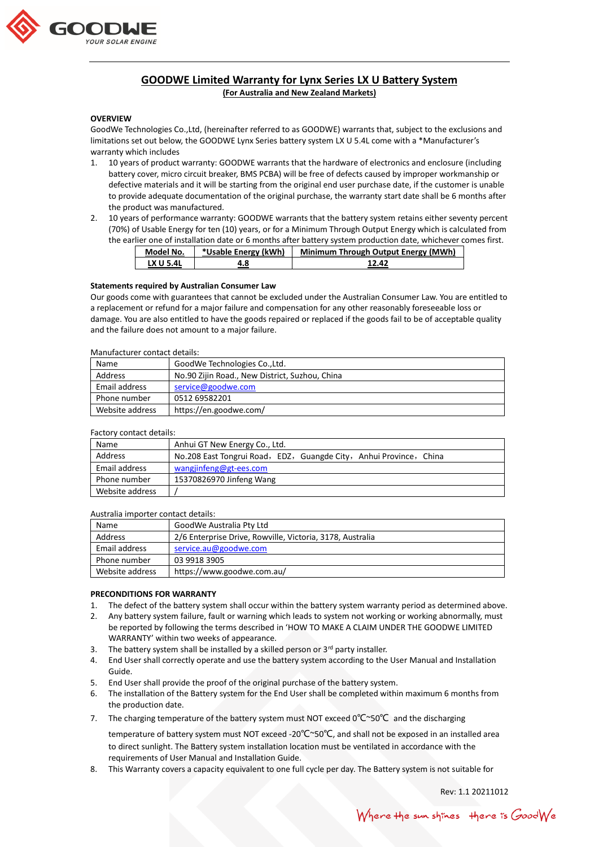

# **GOODWE Limited Warranty for Lynx Series LX U Battery System**

**(For Australia and New Zealand Markets)**

## **OVERVIEW**

GoodWe Technologies Co.,Ltd, (hereinafter referred to as GOODWE) warrants that, subject to the exclusions and limitations set out below, the GOODWE Lynx Series battery system LX U 5.4L come with a \*Manufacturer's warranty which includes

- 1. 10 years of product warranty: GOODWE warrants that the hardware of electronics and enclosure (including battery cover, micro circuit breaker, BMS PCBA) will be free of defects caused by improper workmanship or defective materials and it will be starting from the original end user purchase date, if the customer is unable to provide adequate documentation of the original purchase, the warranty start date shall be 6 months after the product was manufactured.
- 2. 10 years of performance warranty: GOODWE warrants that the battery system retains either seventy percent (70%) of Usable Energy for ten (10) years, or for a Minimum Through Output Energy which is calculated from the earlier one of installation date or 6 months after battery system production date, whichever comes first.

| Model No.        | *Usable Energy (kWh) | Minimum Through Output Energy (MWh) |
|------------------|----------------------|-------------------------------------|
| <b>LX U 5.4L</b> | 4.8                  | 12.42                               |

## **Statements required by Australian Consumer Law**

Our goods come with guarantees that cannot be excluded under the Australian Consumer Law. You are entitled to a replacement or refund for a major failure and compensation for any other reasonably foreseeable loss or damage. You are also entitled to have the goods repaired or replaced if the goods fail to be of acceptable quality and the failure does not amount to a major failure.

#### Manufacturer contact details:

| Name            | GoodWe Technologies Co., Ltd.                  |  |
|-----------------|------------------------------------------------|--|
| Address         | No.90 Zijin Road., New District, Suzhou, China |  |
| Email address   | service@goodwe.com                             |  |
| Phone number    | 0512 69582201                                  |  |
| Website address | https://en.goodwe.com/                         |  |

#### Factory contact details:

| Name            | Anhui GT New Energy Co., Ltd.                                      |
|-----------------|--------------------------------------------------------------------|
| Address         | No.208 East Tongrui Road, EDZ, Guangde City, Anhui Province, China |
| Email address   | wangjinfeng@gt-ees.com                                             |
| Phone number    | 15370826970 Jinfeng Wang                                           |
| Website address |                                                                    |

#### Australia importer contact details:

| Name            | GoodWe Australia Pty Ltd                                  |
|-----------------|-----------------------------------------------------------|
| Address         | 2/6 Enterprise Drive, Rowville, Victoria, 3178, Australia |
| Email address   | service.au@goodwe.com                                     |
| Phone number    | 03 9918 3905                                              |
| Website address | https://www.goodwe.com.au/                                |

## **PRECONDITIONS FOR WARRANTY**

- 1. The defect of the battery system shall occur within the battery system warranty period as determined above.
- 2. Any battery system failure, fault or warning which leads to system not working or working abnormally, must be reported by following the terms described in 'HOW TO MAKE A CLAIM UNDER THE GOODWE LIMITED WARRANTY' within two weeks of appearance.
- 3. The battery system shall be installed by a skilled person or  $3<sup>rd</sup>$  party installer.
- 4. End User shall correctly operate and use the battery system according to the User Manual and Installation Guide.
- 5. End User shall provide the proof of the original purchase of the battery system.
- 6. The installation of the Battery system for the End User shall be completed within maximum 6 months from the production date.
- 7. The charging temperature of the battery system must NOT exceed 0°C~50°C and the discharging temperature of battery system must NOT exceed -20℃~50℃, and shall not be exposed in an installed area to direct sunlight. The Battery system installation location must be ventilated in accordance with the requirements of User Manual and Installation Guide.
- 8. This Warranty covers a capacity equivalent to one full cycle per day. The Battery system is not suitable for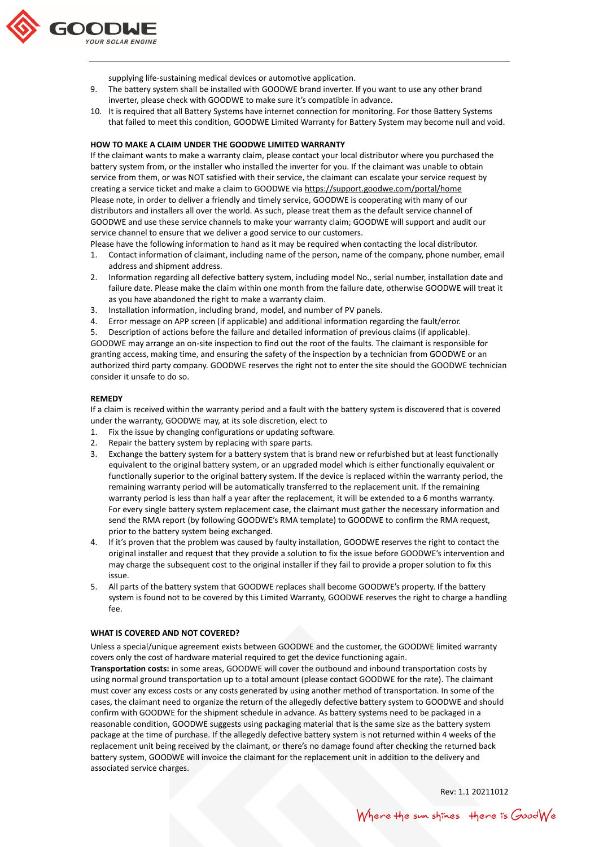

supplying life-sustaining medical devices or automotive application.

- 9. The battery system shall be installed with GOODWE brand inverter. If you want to use any other brand inverter, please check with GOODWE to make sure it's compatible in advance.
- 10. It is required that all Battery Systems have internet connection for monitoring. For those Battery Systems that failed to meet this condition, GOODWE Limited Warranty for Battery System may become null and void.

#### **HOW TO MAKE A CLAIM UNDER THE GOODWE LIMITED WARRANTY**

If the claimant wants to make a warranty claim, please contact your local distributor where you purchased the battery system from, or the installer who installed the inverter for you. If the claimant was unable to obtain service from them, or was NOT satisfied with their service, the claimant can escalate your service request by creating a service ticket and make a claim to GOODWE via<https://support.goodwe.com/portal/home> Please note, in order to deliver a friendly and timely service, GOODWE is cooperating with many of our distributors and installers all over the world. As such, please treat them as the default service channel of GOODWE and use these service channels to make your warranty claim; GOODWE will support and audit our service channel to ensure that we deliver a good service to our customers.

Please have the following information to hand as it may be required when contacting the local distributor.

- 1. Contact information of claimant, including name of the person, name of the company, phone number, email address and shipment address.
- 2. Information regarding all defective battery system, including model No., serial number, installation date and failure date. Please make the claim within one month from the failure date, otherwise GOODWE will treat it as you have abandoned the right to make a warranty claim.
- 3. Installation information, including brand, model, and number of PV panels.
- 4. Error message on APP screen (if applicable) and additional information regarding the fault/error.

5. Description of actions before the failure and detailed information of previous claims (if applicable). GOODWE may arrange an on-site inspection to find out the root of the faults. The claimant is responsible for granting access, making time, and ensuring the safety of the inspection by a technician from GOODWE or an authorized third party company. GOODWE reserves the right not to enter the site should the GOODWE technician consider it unsafe to do so.

#### **REMEDY**

If a claim is received within the warranty period and a fault with the battery system is discovered that is covered under the warranty, GOODWE may, at its sole discretion, elect to

- 1. Fix the issue by changing configurations or updating software.
- 2. Repair the battery system by replacing with spare parts.
- 3. Exchange the battery system for a battery system that is brand new or refurbished but at least functionally equivalent to the original battery system, or an upgraded model which is either functionally equivalent or functionally superior to the original battery system. If the device is replaced within the warranty period, the remaining warranty period will be automatically transferred to the replacement unit. If the remaining warranty period is less than half a year after the replacement, it will be extended to a 6 months warranty. For every single battery system replacement case, the claimant must gather the necessary information and send the RMA report (by following GOODWE's RMA template) to GOODWE to confirm the RMA request, prior to the battery system being exchanged.
- 4. If it's proven that the problem was caused by faulty installation, GOODWE reserves the right to contact the original installer and request that they provide a solution to fix the issue before GOODWE's intervention and may charge the subsequent cost to the original installer if they fail to provide a proper solution to fix this issue.
- 5. All parts of the battery system that GOODWE replaces shall become GOODWE's property. If the battery system is found not to be covered by this Limited Warranty, GOODWE reserves the right to charge a handling fee.

## **WHAT IS COVERED AND NOT COVERED?**

Unless a special/unique agreement exists between GOODWE and the customer, the GOODWE limited warranty covers only the cost of hardware material required to get the device functioning again.

**Transportation costs:** in some areas, GOODWE will cover the outbound and inbound transportation costs by using normal ground transportation up to a total amount (please contact GOODWE for the rate). The claimant must cover any excess costs or any costs generated by using another method of transportation. In some of the cases, the claimant need to organize the return of the allegedly defective battery system to GOODWE and should confirm with GOODWE for the shipment schedule in advance. As battery systems need to be packaged in a reasonable condition, GOODWE suggests using packaging material that is the same size as the battery system package at the time of purchase. If the allegedly defective battery system is not returned within 4 weeks of the replacement unit being received by the claimant, or there's no damage found after checking the returned back battery system, GOODWE will invoice the claimant for the replacement unit in addition to the delivery and associated service charges.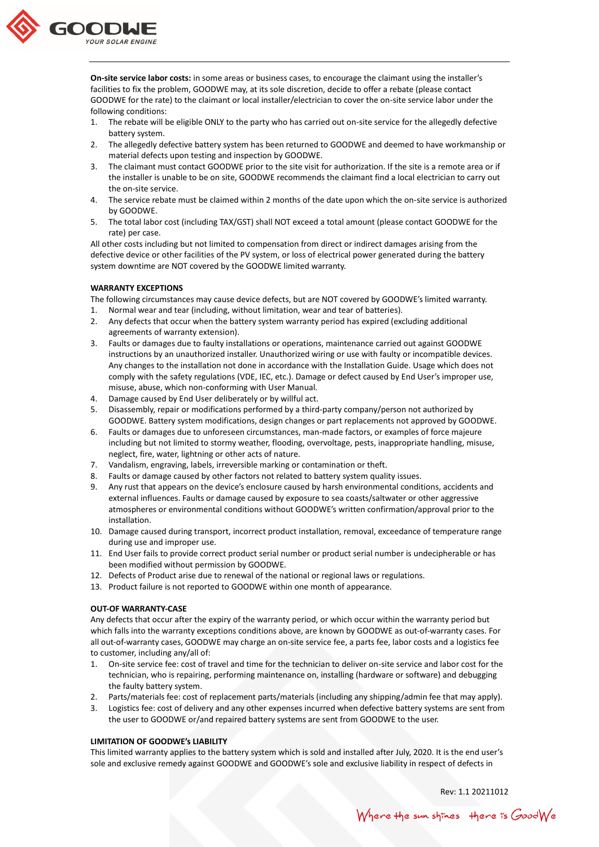

**On-site service labor costs:** in some areas or business cases, to encourage the claimant using the installer's facilities to fix the problem, GOODWE may, at its sole discretion, decide to offer a rebate (please contact GOODWE for the rate) to the claimant or local installer/electrician to cover the on-site service labor under the following conditions:

- 1. The rebate will be eligible ONLY to the party who has carried out on-site service for the allegedly defective battery system.
- 2. The allegedly defective battery system has been returned to GOODWE and deemed to have workmanship or material defects upon testing and inspection by GOODWE.
- 3. The claimant must contact GOODWE prior to the site visit for authorization. If the site is a remote area or if the installer is unable to be on site, GOODWE recommends the claimant find a local electrician to carry out the on-site service.
- 4. The service rebate must be claimed within 2 months of the date upon which the on-site service is authorized by GOODWE.
- 5. The total labor cost (including TAX/GST) shall NOT exceed a total amount (please contact GOODWE for the rate) per case.

All other costs including but not limited to compensation from direct or indirect damages arising from the defective device or other facilities of the PV system, or loss of electrical power generated during the battery system downtime are NOT covered by the GOODWE limited warranty.

## **WARRANTY EXCEPTIONS**

The following circumstances may cause device defects, but are NOT covered by GOODWE's limited warranty.

- 1. Normal wear and tear (including, without limitation, wear and tear of batteries).
- 2. Any defects that occur when the battery system warranty period has expired (excluding additional agreements of warranty extension).
- 3. Faults or damages due to faulty installations or operations, maintenance carried out against GOODWE instructions by an unauthorized installer. Unauthorized wiring or use with faulty or incompatible devices. Any changes to the installation not done in accordance with the Installation Guide. Usage which does not comply with the safety regulations (VDE, IEC, etc.). Damage or defect caused by End User's improper use, misuse, abuse, which non-conforming with User Manual.
- 4. Damage caused by End User deliberately or by willful act.
- 5. Disassembly, repair or modifications performed by a third-party company/person not authorized by GOODWE. Battery system modifications, design changes or part replacements not approved by GOODWE.
- 6. Faults or damages due to unforeseen circumstances, man-made factors, or examples of force majeure including but not limited to stormy weather, flooding, overvoltage, pests, inappropriate handling, misuse, neglect, fire, water, lightning or other acts of nature.
- 7. Vandalism, engraving, labels, irreversible marking or contamination or theft.
- 8. Faults or damage caused by other factors not related to battery system quality issues.
- 9. Any rust that appears on the device's enclosure caused by harsh environmental conditions, accidents and external influences. Faults or damage caused by exposure to sea coasts/saltwater or other aggressive atmospheres or environmental conditions without GOODWE's written confirmation/approval prior to the installation.
- 10. Damage caused during transport, incorrect product installation, removal, exceedance of temperature range during use and improper use.
- 11. End User fails to provide correct product serial number or product serial number is undecipherable or has been modified without permission by GOODWE.
- 12. Defects of Product arise due to renewal of the national or regional laws or regulations.
- 13. Product failure is not reported to GOODWE within one month of appearance.

## **OUT-OF WARRANTY-CASE**

Any defects that occur after the expiry of the warranty period, or which occur within the warranty period but which falls into the warranty exceptions conditions above, are known by GOODWE as out-of-warranty cases. For all out-of-warranty cases, GOODWE may charge an on-site service fee, a parts fee, labor costs and a logistics fee to customer, including any/all of:

- 1. On-site service fee: cost of travel and time for the technician to deliver on-site service and labor cost for the technician, who is repairing, performing maintenance on, installing (hardware or software) and debugging the faulty battery system.
- 2. Parts/materials fee: cost of replacement parts/materials (including any shipping/admin fee that may apply).
- 3. Logistics fee: cost of delivery and any other expenses incurred when defective battery systems are sent from the user to GOODWE or/and repaired battery systems are sent from GOODWE to the user.

## **LIMITATION OF GOODWE's LIABILITY**

This limited warranty applies to the battery system which is sold and installed after July, 2020. It is the end user's sole and exclusive remedy against GOODWE and GOODWE's sole and exclusive liability in respect of defects in